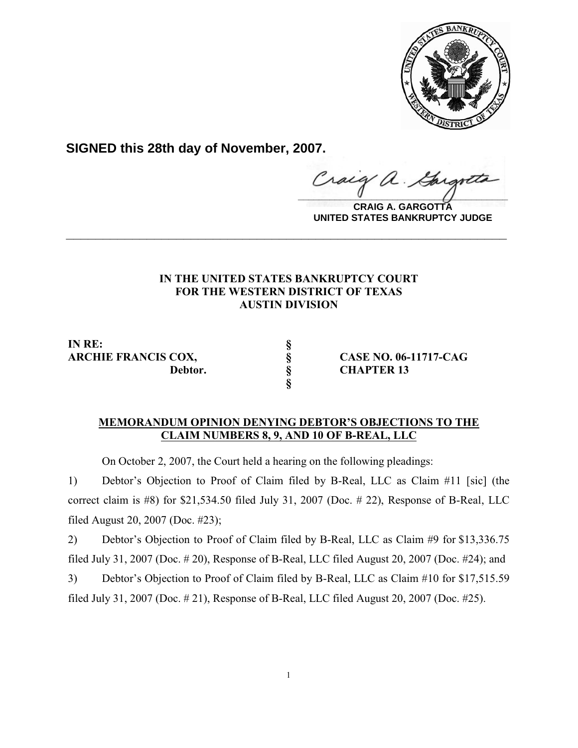

**SIGNED this 28th day of November, 2007.**

raig  $\frac{1}{2}$ 

**CRAIG A. GARGOTTA UNITED STATES BANKRUPTCY JUDGE**

## **IN THE UNITED STATES BANKRUPTCY COURT FOR THE WESTERN DISTRICT OF TEXAS AUSTIN DIVISION**

**\_\_\_\_\_\_\_\_\_\_\_\_\_\_\_\_\_\_\_\_\_\_\_\_\_\_\_\_\_\_\_\_\_\_\_\_\_\_\_\_\_\_\_\_\_\_\_\_\_\_\_\_\_\_\_\_\_\_\_\_**

**IN RE: §**

**§**

**ARCHIE FRANCIS COX, § CASE NO. 06-11717-CAG Debtor. § CHAPTER 13**

## **MEMORANDUM OPINION DENYING DEBTOR'S OBJECTIONS TO THE CLAIM NUMBERS 8, 9, AND 10 OF B-REAL, LLC**

On October 2, 2007, the Court held a hearing on the following pleadings:

1) Debtor's Objection to Proof of Claim filed by B-Real, LLC as Claim #11 [sic] (the correct claim is #8) for \$21,534.50 filed July 31, 2007 (Doc. # 22), Response of B-Real, LLC filed August 20, 2007 (Doc. #23);

2) Debtor's Objection to Proof of Claim filed by B-Real, LLC as Claim #9 for \$13,336.75 filed July 31, 2007 (Doc. # 20), Response of B-Real, LLC filed August 20, 2007 (Doc. #24); and

3) Debtor's Objection to Proof of Claim filed by B-Real, LLC as Claim #10 for \$17,515.59 filed July 31, 2007 (Doc. # 21), Response of B-Real, LLC filed August 20, 2007 (Doc. #25).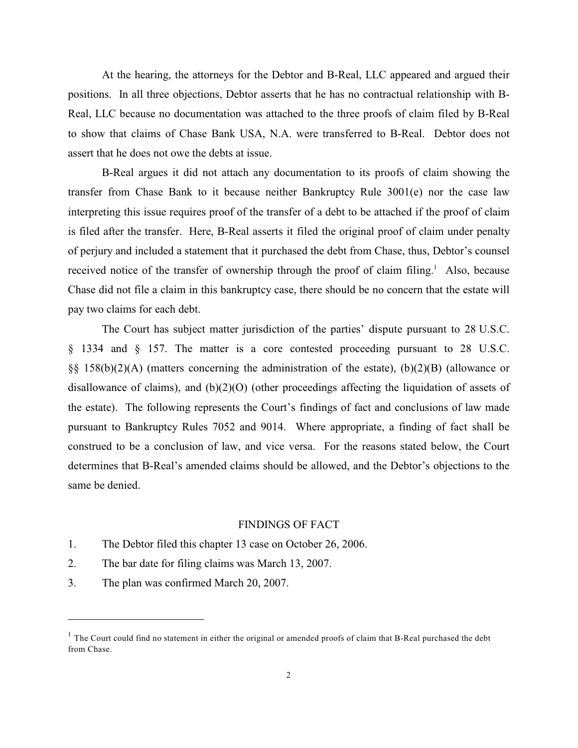At the hearing, the attorneys for the Debtor and B-Real, LLC appeared and argued their positions. In all three objections, Debtor asserts that he has no contractual relationship with B-Real, LLC because no documentation was attached to the three proofs of claim filed by B-Real to show that claims of Chase Bank USA, N.A. were transferred to B-Real. Debtor does not assert that he does not owe the debts at issue.

B-Real argues it did not attach any documentation to its proofs of claim showing the transfer from Chase Bank to it because neither Bankruptcy Rule 3001(e) nor the case law interpreting this issue requires proof of the transfer of a debt to be attached if the proof of claim is filed after the transfer. Here, B-Real asserts it filed the original proof of claim under penalty of perjury and included a statement that it purchased the debt from Chase, thus, Debtor's counsel received notice of the transfer of ownership through the proof of claim filing.<sup>1</sup> Also, because Chase did not file a claim in this bankruptcy case, there should be no concern that the estate will pay two claims for each debt.

The Court has subject matter jurisdiction of the parties' dispute pursuant to 28 U.S.C. § 1334 and § 157. The matter is a core contested proceeding pursuant to 28 U.S.C. §§ 158(b)(2)(A) (matters concerning the administration of the estate), (b)(2)(B) (allowance or disallowance of claims), and (b)(2)(O) (other proceedings affecting the liquidation of assets of the estate). The following represents the Court's findings of fact and conclusions of law made pursuant to Bankruptcy Rules 7052 and 9014. Where appropriate, a finding of fact shall be construed to be a conclusion of law, and vice versa. For the reasons stated below, the Court determines that B-Real's amended claims should be allowed, and the Debtor's objections to the same be denied.

## FINDINGS OF FACT

- 1. The Debtor filed this chapter 13 case on October 26, 2006.
- 2. The bar date for filing claims was March 13, 2007.
- 3. The plan was confirmed March 20, 2007.

<sup>&</sup>lt;sup>1</sup> The Court could find no statement in either the original or amended proofs of claim that B-Real purchased the debt from Chase.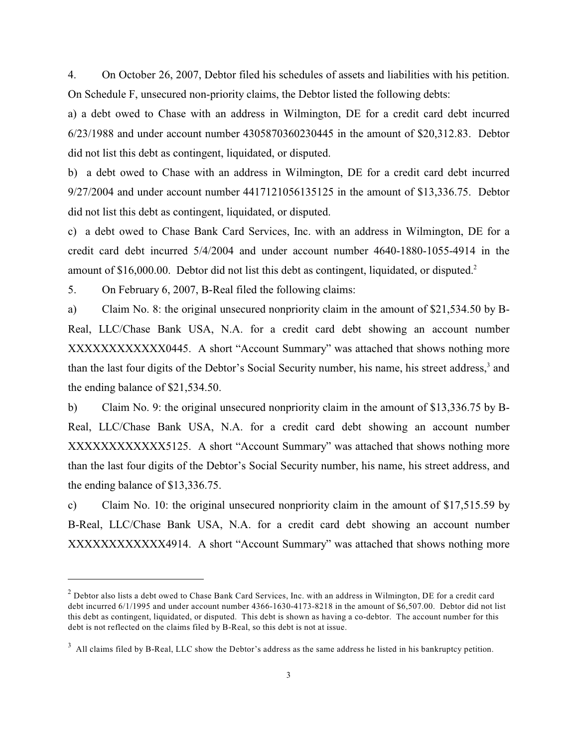4. On October 26, 2007, Debtor filed his schedules of assets and liabilities with his petition. On Schedule F, unsecured non-priority claims, the Debtor listed the following debts:

a) a debt owed to Chase with an address in Wilmington, DE for a credit card debt incurred 6/23/1988 and under account number 4305870360230445 in the amount of \$20,312.83. Debtor did not list this debt as contingent, liquidated, or disputed.

b) a debt owed to Chase with an address in Wilmington, DE for a credit card debt incurred 9/27/2004 and under account number 4417121056135125 in the amount of \$13,336.75. Debtor did not list this debt as contingent, liquidated, or disputed.

c) a debt owed to Chase Bank Card Services, Inc. with an address in Wilmington, DE for a credit card debt incurred 5/4/2004 and under account number 4640-1880-1055-4914 in the amount of \$16,000.00. Debtor did not list this debt as contingent, liquidated, or disputed.<sup>2</sup>

5. On February 6, 2007, B-Real filed the following claims:

a) Claim No. 8: the original unsecured nonpriority claim in the amount of \$21,534.50 by B-Real, LLC/Chase Bank USA, N.A. for a credit card debt showing an account number XXXXXXXXXXXX0445. A short "Account Summary" was attached that shows nothing more than the last four digits of the Debtor's Social Security number, his name, his street address,<sup>3</sup> and the ending balance of \$21,534.50.

b) Claim No. 9: the original unsecured nonpriority claim in the amount of \$13,336.75 by B-Real, LLC/Chase Bank USA, N.A. for a credit card debt showing an account number XXXXXXXXXXXX5125. A short "Account Summary" was attached that shows nothing more than the last four digits of the Debtor's Social Security number, his name, his street address, and the ending balance of \$13,336.75.

c) Claim No. 10: the original unsecured nonpriority claim in the amount of \$17,515.59 by B-Real, LLC/Chase Bank USA, N.A. for a credit card debt showing an account number XXXXXXXXXXXX4914. A short "Account Summary" was attached that shows nothing more

 $2$  Debtor also lists a debt owed to Chase Bank Card Services, Inc. with an address in Wilmington, DE for a credit card debt incurred 6/1/1995 and under account number 4366-1630-4173-8218 in the amount of \$6,507.00. Debtor did not list this debt as contingent, liquidated, or disputed. This debt is shown as having a co-debtor. The account number for this debt is not reflected on the claims filed by B-Real, so this debt is not at issue.

 $3$  All claims filed by B-Real, LLC show the Debtor's address as the same address he listed in his bankruptcy petition.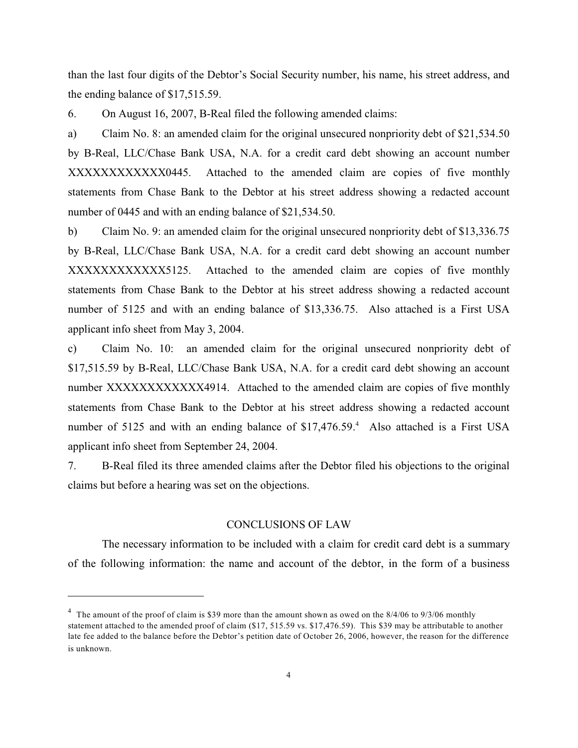than the last four digits of the Debtor's Social Security number, his name, his street address, and the ending balance of \$17,515.59.

6. On August 16, 2007, B-Real filed the following amended claims:

a) Claim No. 8: an amended claim for the original unsecured nonpriority debt of \$21,534.50 by B-Real, LLC/Chase Bank USA, N.A. for a credit card debt showing an account number XXXXXXXXXXXX0445. Attached to the amended claim are copies of five monthly statements from Chase Bank to the Debtor at his street address showing a redacted account number of 0445 and with an ending balance of \$21,534.50.

b) Claim No. 9: an amended claim for the original unsecured nonpriority debt of \$13,336.75 by B-Real, LLC/Chase Bank USA, N.A. for a credit card debt showing an account number XXXXXXXXXXXXX5125. Attached to the amended claim are copies of five monthly statements from Chase Bank to the Debtor at his street address showing a redacted account number of 5125 and with an ending balance of \$13,336.75. Also attached is a First USA applicant info sheet from May 3, 2004.

c) Claim No. 10: an amended claim for the original unsecured nonpriority debt of \$17,515.59 by B-Real, LLC/Chase Bank USA, N.A. for a credit card debt showing an account number XXXXXXXXXXXXX4914. Attached to the amended claim are copies of five monthly statements from Chase Bank to the Debtor at his street address showing a redacted account number of 5125 and with an ending balance of \$17,476.59.<sup>4</sup> Also attached is a First USA applicant info sheet from September 24, 2004.

7. B-Real filed its three amended claims after the Debtor filed his objections to the original claims but before a hearing was set on the objections.

## CONCLUSIONS OF LAW

The necessary information to be included with a claim for credit card debt is a summary of the following information: the name and account of the debtor, in the form of a business

<sup>&</sup>lt;sup>4</sup> The amount of the proof of claim is \$39 more than the amount shown as owed on the 8/4/06 to 9/3/06 monthly statement attached to the amended proof of claim (\$17, 515.59 vs. \$17,476.59). This \$39 may be attributable to another late fee added to the balance before the Debtor's petition date of October 26, 2006, however, the reason for the difference is unknown.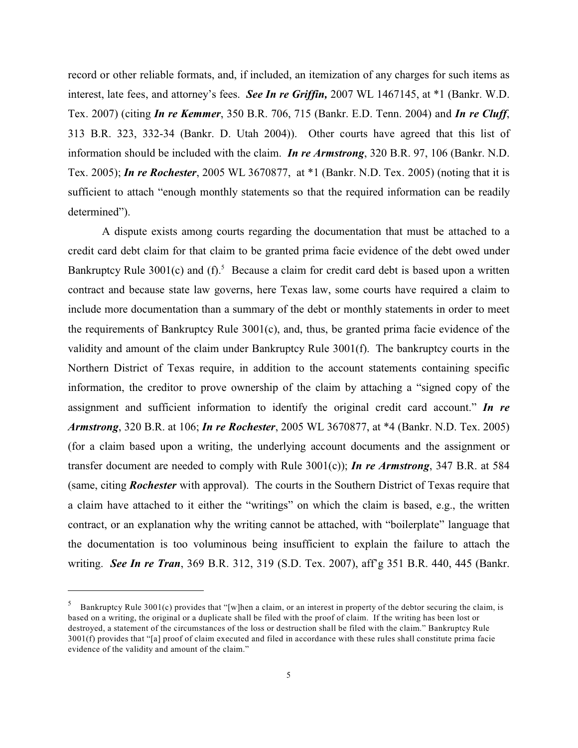record or other reliable formats, and, if included, an itemization of any charges for such items as interest, late fees, and attorney's fees. *See In re Griffin,* 2007 WL 1467145, at \*1 (Bankr. W.D. Tex. 2007) (citing *In re Kemmer*, 350 B.R. 706, 715 (Bankr. E.D. Tenn. 2004) and *In re Cluff*, 313 B.R. 323, 332-34 (Bankr. D. Utah 2004)). Other courts have agreed that this list of information should be included with the claim. *In re Armstrong*, 320 B.R. 97, 106 (Bankr. N.D. Tex. 2005); *In re Rochester*, 2005 WL 3670877, at \*1 (Bankr. N.D. Tex. 2005) (noting that it is sufficient to attach "enough monthly statements so that the required information can be readily determined").

A dispute exists among courts regarding the documentation that must be attached to a credit card debt claim for that claim to be granted prima facie evidence of the debt owed under Bankruptcy Rule 3001(c) and  $(f)$ .<sup>5</sup> Because a claim for credit card debt is based upon a written contract and because state law governs, here Texas law, some courts have required a claim to include more documentation than a summary of the debt or monthly statements in order to meet the requirements of Bankruptcy Rule 3001(c), and, thus, be granted prima facie evidence of the validity and amount of the claim under Bankruptcy Rule 3001(f). The bankruptcy courts in the Northern District of Texas require, in addition to the account statements containing specific information, the creditor to prove ownership of the claim by attaching a "signed copy of the assignment and sufficient information to identify the original credit card account." *In re Armstrong*, 320 B.R. at 106; *In re Rochester*, 2005 WL 3670877, at \*4 (Bankr. N.D. Tex. 2005) (for a claim based upon a writing, the underlying account documents and the assignment or transfer document are needed to comply with Rule 3001(c)); *In re Armstrong*, 347 B.R. at 584 (same, citing *Rochester* with approval). The courts in the Southern District of Texas require that a claim have attached to it either the "writings" on which the claim is based, e.g., the written contract, or an explanation why the writing cannot be attached, with "boilerplate" language that the documentation is too voluminous being insufficient to explain the failure to attach the writing. *See In re Tran*, 369 B.R. 312, 319 (S.D. Tex. 2007), aff'g 351 B.R. 440, 445 (Bankr.

<sup>&</sup>lt;sup>5</sup> Bankruptcy Rule 3001(c) provides that "[w]hen a claim, or an interest in property of the debtor securing the claim, is based on a writing, the original or a duplicate shall be filed with the proof of claim. If the writing has been lost or destroyed, a statement of the circumstances of the loss or destruction shall be filed with the claim." Bankruptcy Rule 3001(f) provides that "[a] proof of claim executed and filed in accordance with these rules shall constitute prima facie evidence of the validity and amount of the claim."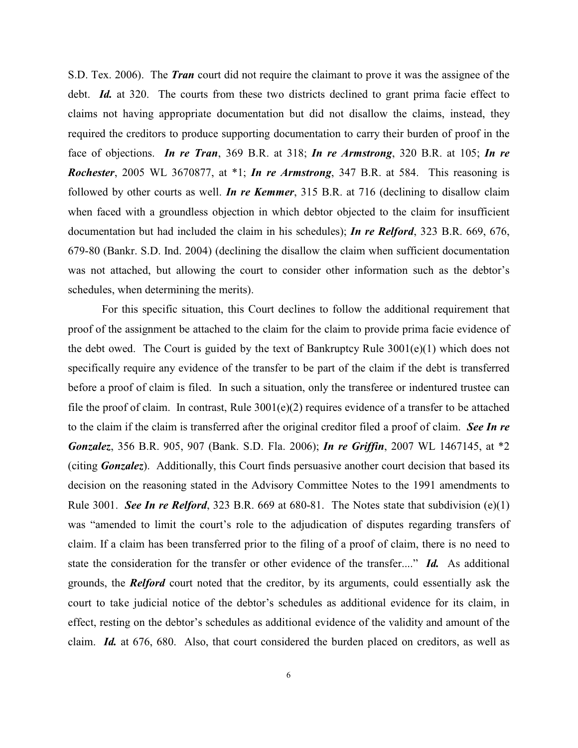S.D. Tex. 2006). The *Tran* court did not require the claimant to prove it was the assignee of the debt. *Id.* at 320. The courts from these two districts declined to grant prima facie effect to claims not having appropriate documentation but did not disallow the claims, instead, they required the creditors to produce supporting documentation to carry their burden of proof in the face of objections. *In re Tran*, 369 B.R. at 318; *In re Armstrong*, 320 B.R. at 105; *In re Rochester*, 2005 WL 3670877, at \*1; *In re Armstrong*, 347 B.R. at 584. This reasoning is followed by other courts as well. *In re Kemmer*, 315 B.R. at 716 (declining to disallow claim when faced with a groundless objection in which debtor objected to the claim for insufficient documentation but had included the claim in his schedules); *In re Relford*, 323 B.R. 669, 676, 679-80 (Bankr. S.D. Ind. 2004) (declining the disallow the claim when sufficient documentation was not attached, but allowing the court to consider other information such as the debtor's schedules, when determining the merits).

For this specific situation, this Court declines to follow the additional requirement that proof of the assignment be attached to the claim for the claim to provide prima facie evidence of the debt owed. The Court is guided by the text of Bankruptcy Rule 3001(e)(1) which does not specifically require any evidence of the transfer to be part of the claim if the debt is transferred before a proof of claim is filed. In such a situation, only the transferee or indentured trustee can file the proof of claim. In contrast, Rule 3001(e)(2) requires evidence of a transfer to be attached to the claim if the claim is transferred after the original creditor filed a proof of claim. *See In re Gonzalez*, 356 B.R. 905, 907 (Bank. S.D. Fla. 2006); *In re Griffin*, 2007 WL 1467145, at \*2 (citing *Gonzalez*). Additionally, this Court finds persuasive another court decision that based its decision on the reasoning stated in the Advisory Committee Notes to the 1991 amendments to Rule 3001. *See In re Relford*, 323 B.R. 669 at 680-81. The Notes state that subdivision (e)(1) was "amended to limit the court's role to the adjudication of disputes regarding transfers of claim. If a claim has been transferred prior to the filing of a proof of claim, there is no need to state the consideration for the transfer or other evidence of the transfer...." *Id.* As additional grounds, the *Relford* court noted that the creditor, by its arguments, could essentially ask the court to take judicial notice of the debtor's schedules as additional evidence for its claim, in effect, resting on the debtor's schedules as additional evidence of the validity and amount of the claim. *Id.* at 676, 680. Also, that court considered the burden placed on creditors, as well as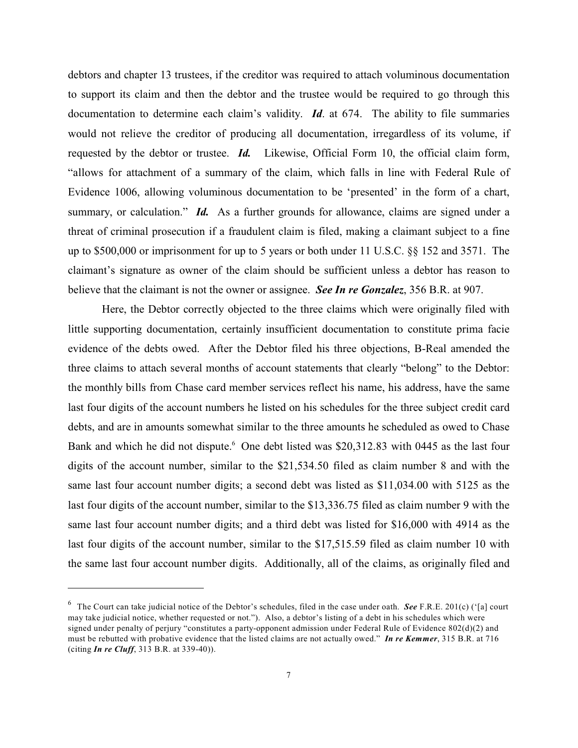debtors and chapter 13 trustees, if the creditor was required to attach voluminous documentation to support its claim and then the debtor and the trustee would be required to go through this documentation to determine each claim's validity. *Id*. at 674. The ability to file summaries would not relieve the creditor of producing all documentation, irregardless of its volume, if requested by the debtor or trustee. *Id.* Likewise, Official Form 10, the official claim form, "allows for attachment of a summary of the claim, which falls in line with Federal Rule of Evidence 1006, allowing voluminous documentation to be 'presented' in the form of a chart, summary, or calculation." *Id.* As a further grounds for allowance, claims are signed under a threat of criminal prosecution if a fraudulent claim is filed, making a claimant subject to a fine up to \$500,000 or imprisonment for up to 5 years or both under 11 U.S.C. §§ 152 and 3571. The claimant's signature as owner of the claim should be sufficient unless a debtor has reason to believe that the claimant is not the owner or assignee. *See In re Gonzalez*, 356 B.R. at 907.

Here, the Debtor correctly objected to the three claims which were originally filed with little supporting documentation, certainly insufficient documentation to constitute prima facie evidence of the debts owed. After the Debtor filed his three objections, B-Real amended the three claims to attach several months of account statements that clearly "belong" to the Debtor: the monthly bills from Chase card member services reflect his name, his address, have the same last four digits of the account numbers he listed on his schedules for the three subject credit card debts, and are in amounts somewhat similar to the three amounts he scheduled as owed to Chase Bank and which he did not dispute. <sup>6</sup> One debt listed was \$20,312.83 with 0445 as the last four digits of the account number, similar to the \$21,534.50 filed as claim number 8 and with the same last four account number digits; a second debt was listed as \$11,034.00 with 5125 as the last four digits of the account number, similar to the \$13,336.75 filed as claim number 9 with the same last four account number digits; and a third debt was listed for \$16,000 with 4914 as the last four digits of the account number, similar to the \$17,515.59 filed as claim number 10 with the same last four account number digits. Additionally, all of the claims, as originally filed and

 $6$  The Court can take judicial notice of the Debtor's schedules, filed in the case under oath. See F.R.E. 201(c) ('[a] court may take judicial notice, whether requested or not."). Also, a debtor's listing of a debt in his schedules which were signed under penalty of perjury "constitutes a party-opponent admission under Federal Rule of Evidence 802(d)(2) and must be rebutted with probative evidence that the listed claims are not actually owed." *In re Kemmer*, 315 B.R. at 716 (citing *In re Cluff*, 313 B.R. at 339-40)).